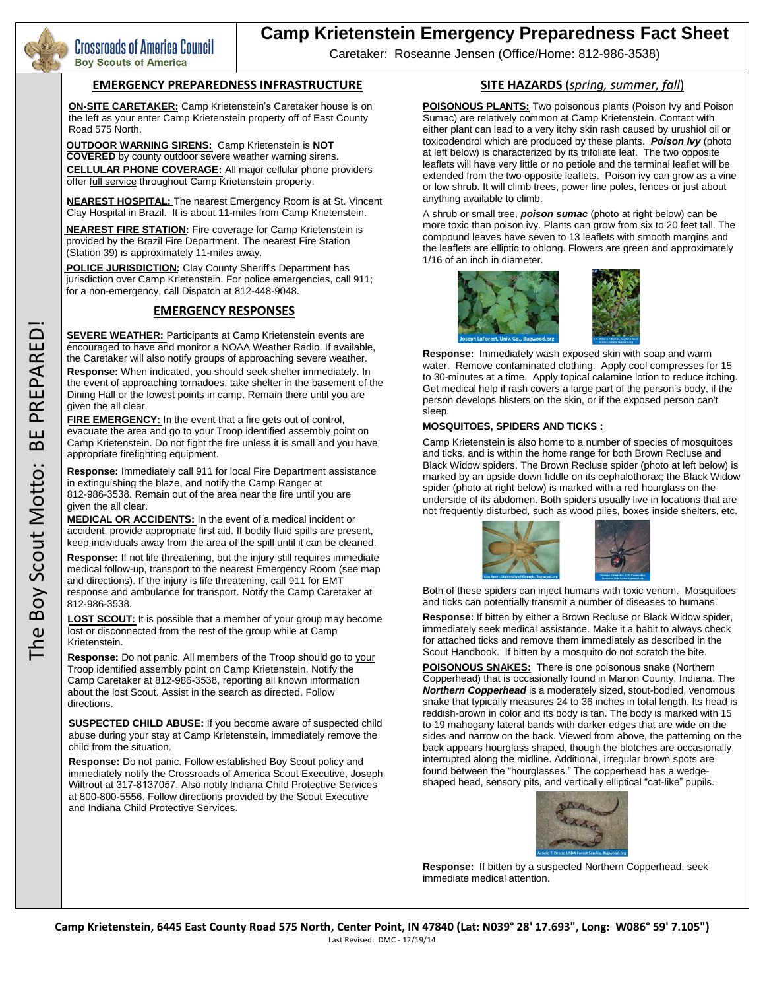

# **Camp Krietenstein Emergency Preparedness Fact Sheet**

Caretaker: Roseanne Jensen (Office/Home: 812-986-3538)

#### **EMERGENCY PREPAREDNESS INFRASTRUCTURE**

**ON-SITE CARETAKER:** Camp Krietenstein's Caretaker house is on the left as your enter Camp Krietenstein property off of East County Road 575 North.

**OUTDOOR WARNING SIRENS:** Camp Krietenstein is **NOT COVERED** by county outdoor severe weather warning sirens. **CELLULAR PHONE COVERAGE:** All major cellular phone providers offer full service throughout Camp Krietenstein property.

**NEAREST HOSPITAL:** The nearest Emergency Room is at St. Vincent Clay Hospital in Brazil. It is about 11-miles from Camp Krietenstein.

**NEAREST FIRE STATION:** Fire coverage for Camp Krietenstein is provided by the Brazil Fire Department. The nearest Fire Station (Station 39) is approximately 11-miles away.

**POLICE JURISDICTION:** Clay County Sheriff's Department has jurisdiction over Camp Krietenstein. For police emergencies, call 911; for a non-emergency, call Dispatch at 812-448-9048.

#### **EMERGENCY RESPONSES**

**SEVERE WEATHER:** Participants at Camp Krietenstein events are encouraged to have and monitor a NOAA Weather Radio. If available, the Caretaker will also notify groups of approaching severe weather. **Response:** When indicated, you should seek shelter immediately. In the event of approaching tornadoes, take shelter in the basement of the Dining Hall or the lowest points in camp. Remain there until you are given the all clear.

**FIRE EMERGENCY:** In the event that a fire gets out of control, evacuate the area and go to your Troop identified assembly point on Camp Krietenstein. Do not fight the fire unless it is small and you have appropriate firefighting equipment.

**Response:** Immediately call 911 for local Fire Department assistance in extinguishing the blaze, and notify the Camp Ranger at 812-986-3538. Remain out of the area near the fire until you are given the all clear.

**MEDICAL OR ACCIDENTS:** In the event of a medical incident or accident, provide appropriate first aid. If bodily fluid spills are present, keep individuals away from the area of the spill until it can be cleaned.

**Response:** If not life threatening, but the injury still requires immediate medical follow-up, transport to the nearest Emergency Room (see map and directions). If the injury is life threatening, call 911 for EMT response and ambulance for transport. Notify the Camp Caretaker at 812-986-3538.

**LOST SCOUT:** It is possible that a member of your group may become lost or disconnected from the rest of the group while at Camp Krietenstein.

**Response:** Do not panic. All members of the Troop should go to your Troop identified assembly point on Camp Krietenstein. Notify the Camp Caretaker at 812-986-3538, reporting all known information about the lost Scout. Assist in the search as directed. Follow directions.

**SUSPECTED CHILD ABUSE:** If you become aware of suspected child abuse during your stay at Camp Krietenstein, immediately remove the child from the situation.

**Response:** Do not panic. Follow established Boy Scout policy and immediately notify the Crossroads of America Scout Executive, Joseph Wiltrout at 317-8137057. Also notify Indiana Child Protective Services at 800-800-5556. Follow directions provided by the Scout Executive and Indiana Child Protective Services.

### **SITE HAZARDS** (*spring, summer, fall*)

**POISONOUS PLANTS:** Two poisonous plants (Poison Ivy and Poison Sumac) are relatively common at Camp Krietenstein. Contact with either plant can lead to a very itchy skin rash caused by urushiol oil or toxicodendrol which are produced by these plants. *Poison Ivy* (photo at left below) is characterized by its trifoliate leaf. The two opposite leaflets will have very little or no petiole and the terminal leaflet will be extended from the two opposite leaflets. Poison ivy can grow as a vine or low shrub. It will climb trees, power line poles, fences or just about anything available to climb.

A shrub or small tree, *poison sumac* (photo at right below) can be more toxic than poison ivy. Plants can grow from six to 20 feet tall. The compound leaves have seven to 13 leaflets with smooth margins and the leaflets are elliptic to oblong. Flowers are green and approximately 1/16 of an inch in diameter.



**Response:** Immediately wash exposed skin with soap and warm water. Remove contaminated clothing. Apply cool compresses for 15 to 30-minutes at a time. Apply topical calamine lotion to reduce itching. Get medical help if rash covers a large part of the person's body, if the person develops blisters on the skin, or if the exposed person can't sleep.

#### **MOSQUITOES, SPIDERS AND TICKS :**

Camp Krietenstein is also home to a number of species of mosquitoes and ticks, and is within the home range for both Brown Recluse and Black Widow spiders. The Brown Recluse spider (photo at left below) is marked by an upside down fiddle on its cephalothorax; the Black Widow spider (photo at right below) is marked with a red hourglass on the underside of its abdomen. Both spiders usually live in locations that are not frequently disturbed, such as wood piles, boxes inside shelters, etc.



Both of these spiders can inject humans with toxic venom. Mosquitoes and ticks can potentially transmit a number of diseases to humans.

**Response:** If bitten by either a Brown Recluse or Black Widow spider, immediately seek medical assistance. Make it a habit to always check for attached ticks and remove them immediately as described in the Scout Handbook. If bitten by a mosquito do not scratch the bite.

**POISONOUS SNAKES:** There is one poisonous snake (Northern Copperhead) that is occasionally found in Marion County, Indiana. The *Northern Copperhead* is a moderately sized, stout-bodied, venomous snake that typically measures 24 to 36 inches in total length. Its head is reddish-brown in color and its body is tan. The body is marked with 15 to 19 mahogany lateral bands with darker edges that are wide on the sides and narrow on the back. Viewed from above, the patterning on the back appears hourglass shaped, though the blotches are occasionally interrupted along the midline. Additional, irregular brown spots are found between the "hourglasses." The copperhead has a wedgeshaped head, sensory pits, and vertically elliptical "cat-like" pupils.



**Response:** If bitten by a suspected Northern Copperhead, seek immediate medical attention.